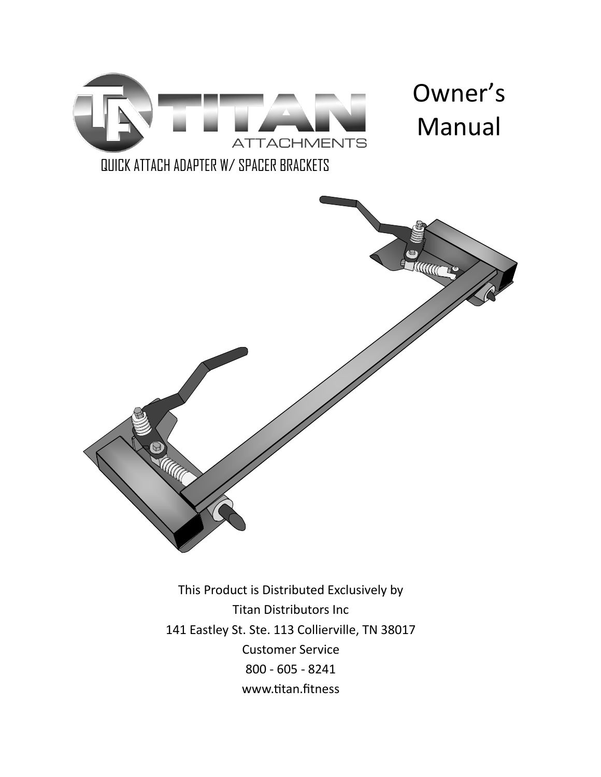

This Product is Distributed Exclusively by Titan Distributors Inc 141 Eastley St. Ste. 113 Collierville, TN 38017 Customer Service 800 - 605 - 8241 www.titan.fitness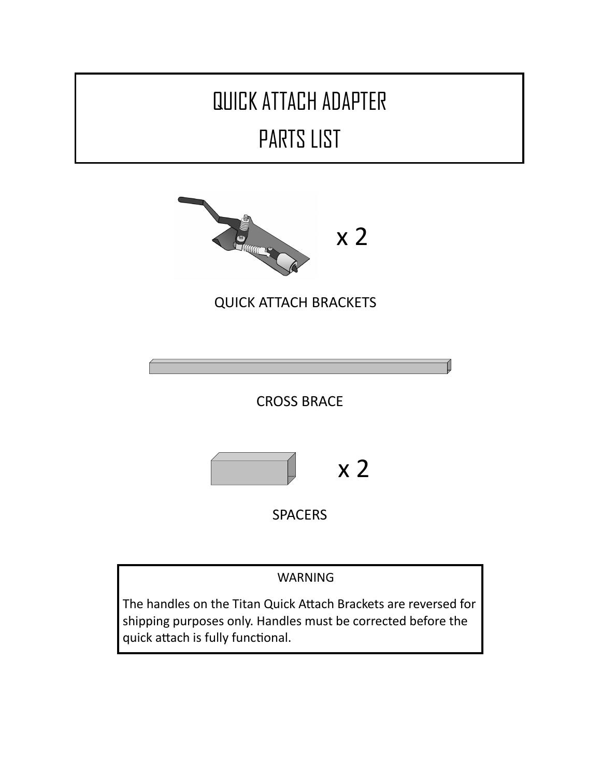

WARNING

The handles on the Titan Quick Attach Brackets are reversed for shipping purposes only. Handles must be corrected before the quick attach is fully functional.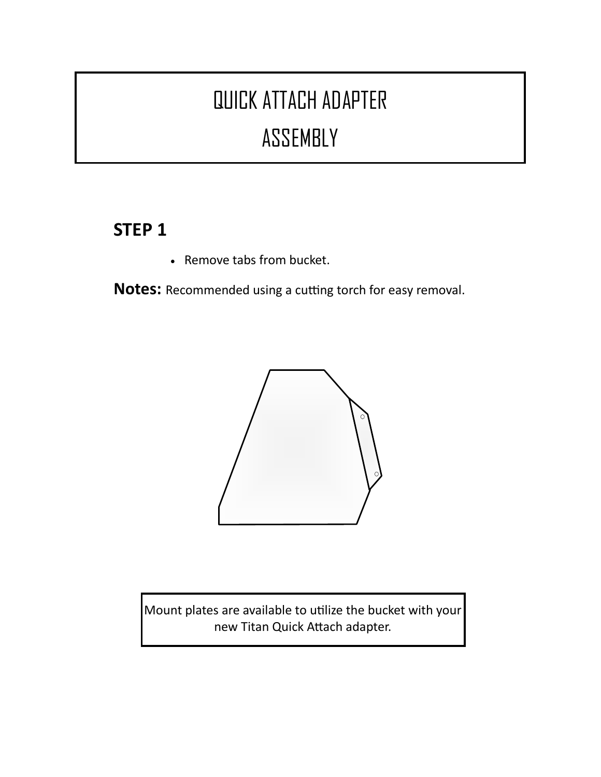# QUICK ATTACH ADAPTER ASSEMBLY

## **STEP 1**

• Remove tabs from bucket.

**Notes:** Recommended using a cutting torch for easy removal.



Mount plates are available to utilize the bucket with your new Titan Quick Attach adapter.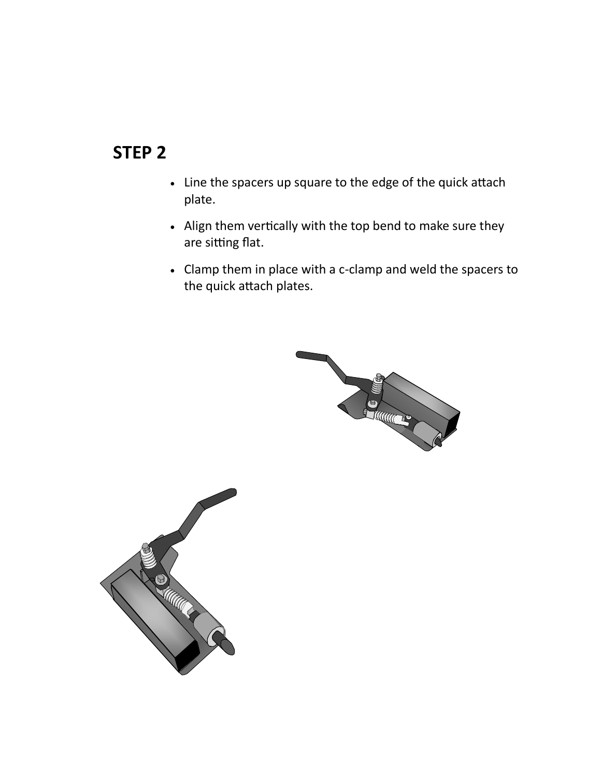#### **STEP 2**

- Line the spacers up square to the edge of the quick attach plate.
- Align them vertically with the top bend to make sure they are sitting flat.
- Clamp them in place with a c-clamp and weld the spacers to the quick attach plates.



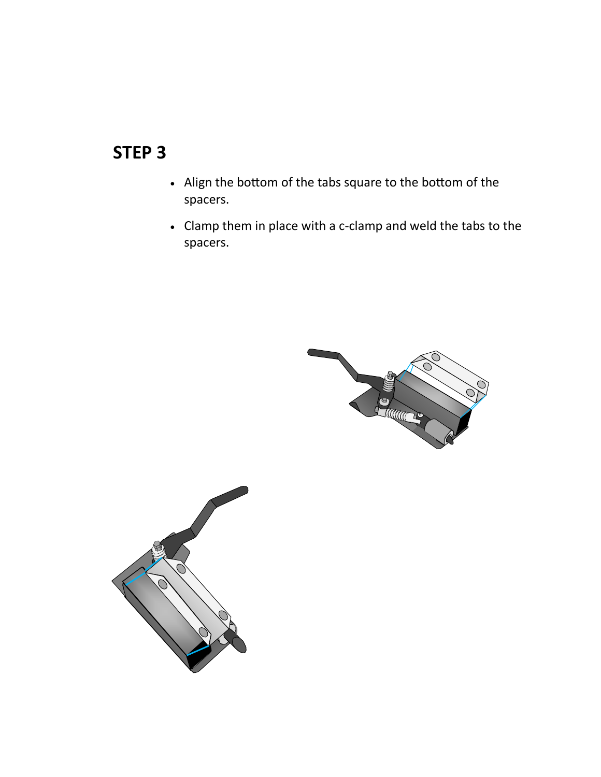### **STEP 3**

- Align the bottom of the tabs square to the bottom of the spacers.
- Clamp them in place with a c-clamp and weld the tabs to the spacers.